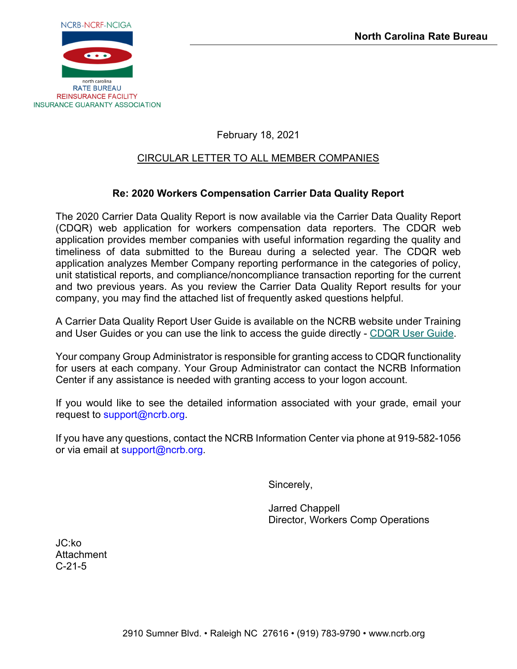

February 18, 2021

## CIRCULAR LETTER TO ALL MEMBER COMPANIES

### **Re: 2020 Workers Compensation Carrier Data Quality Report**

The 2020 Carrier Data Quality Report is now available via the Carrier Data Quality Report (CDQR) web application for workers compensation data reporters. The CDQR web application provides member companies with useful information regarding the quality and timeliness of data submitted to the Bureau during a selected year. The CDQR web application analyzes Member Company reporting performance in the categories of policy, unit statistical reports, and compliance/noncompliance transaction reporting for the current and two previous years. As you review the Carrier Data Quality Report results for your company, you may find the attached list of frequently asked questions helpful.

A Carrier Data Quality Report User Guide is available on the NCRB website under Training and User Guides or you can use the link to access the guide directly - CDQR User Guide.

Your company Group Administrator is responsible for granting access to CDQR functionality for users at each company. Your Group Administrator can contact the NCRB Information Center if any assistance is needed with granting access to your logon account.

If you would like to see the detailed information associated with your grade, email your request to support@ncrb.org.

If you have any questions, contact the NCRB Information Center via phone at 919-582-1056 or via email at support@ncrb.org.

Sincerely,

Jarred Chappell Director, Workers Comp Operations

JC:ko **Attachment** C-21-5